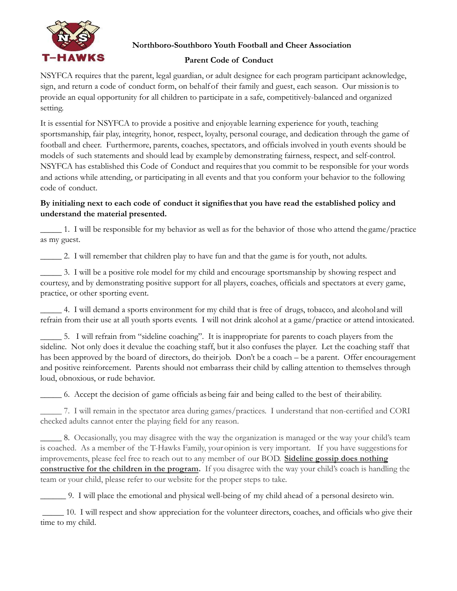

# **Northboro-Southboro Youth Football and Cheer Association**

# **Parent Code of Conduct**

NSYFCA requires that the parent, legal guardian, or adult designee for each program participant acknowledge, sign, and return a code of conduct form, on behalfof their family and guest, each season. Our missionis to provide an equal opportunity for all children to participate in a safe, competitively-balanced and organized setting.

It is essential for NSYFCA to provide a positive and enjoyable learning experience for youth, teaching sportsmanship, fair play, integrity, honor, respect, loyalty, personal courage, and dedication through the game of football and cheer. Furthermore, parents, coaches, spectators, and officials involved in youth events should be models of such statements and should lead by exampleby demonstrating fairness, respect, and self-control. NSYFCA has established this Code of Conduct and requiresthat you commit to be responsible for your words and actions while attending, or participating in all events and that you conform your behavior to the following code of conduct.

# **By initialing next to each code of conduct it signifiesthat you have read the established policy and understand the material presented.**

\_\_\_\_\_ 1. I will be responsible for my behavior as well as for the behavior of those who attend the game/practice as my guest.

\_\_\_\_\_ 2. I will remember that children play to have fun and that the game is for youth, not adults.

\_\_\_\_\_ 3. I will be a positive role model for my child and encourage sportsmanship by showing respect and courtesy, and by demonstrating positive support for all players, coaches, officials and spectators at every game, practice, or other sporting event.

\_\_\_\_\_ 4. I will demand a sports environment for my child that is free of drugs, tobacco, and alcohol and will refrain from their use at all youth sports events. I will not drink alcohol at a game/practice or attend intoxicated.

\_\_\_\_\_ 5. I will refrain from "sideline coaching". It is inappropriate for parents to coach players from the sideline. Not only does it devalue the coaching staff, but it also confuses the player. Let the coaching staff that has been approved by the board of directors, do their job. Don't be a coach – be a parent. Offer encouragement and positive reinforcement. Parents should not embarrass their child by calling attention to themselves through loud, obnoxious, or rude behavior.

\_\_\_\_\_ 6. Accept the decision of game officials asbeing fair and being called to the best of their ability.

\_\_\_\_\_ 7. I will remain in the spectator area during games/practices. I understand that non-certified and CORI checked adults cannot enter the playing field for any reason.

\_\_\_\_\_ 8. Occasionally, you may disagree with the way the organization is managed or the way your child's team is coached. As a member of the T-Hawks Family, youropinion is very important. If you have suggestionsfor improvements, please feel free to reach out to any member of our BOD. **Sideline gossip does nothing constructive for the children in the program.** If you disagree with the way your child's coach is handling the team or your child, please refer to our website for the proper steps to take.

\_\_\_\_\_\_ 9. I will place the emotional and physical well-being of my child ahead of a personal desireto win.

\_\_\_\_\_ 10. I will respect and show appreciation for the volunteer directors, coaches, and officials who give their time to my child.